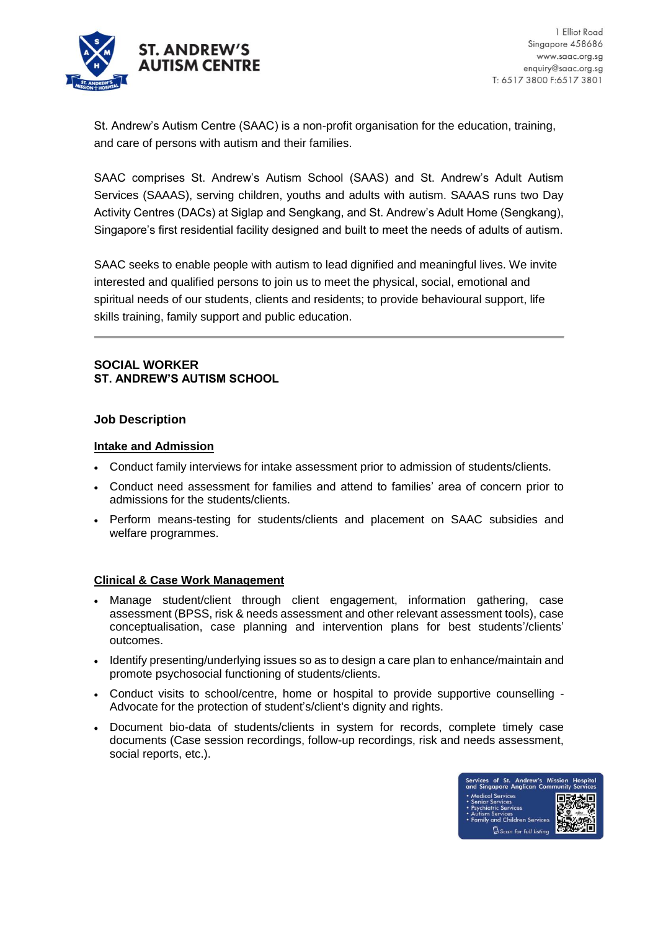

St. Andrew's Autism Centre (SAAC) is a non-profit organisation for the education, training, and care of persons with autism and their families.

SAAC comprises St. Andrew's Autism School (SAAS) and St. Andrew's Adult Autism Services (SAAAS), serving children, youths and adults with autism. SAAAS runs two Day Activity Centres (DACs) at Siglap and Sengkang, and St. Andrew's Adult Home (Sengkang), Singapore's first residential facility designed and built to meet the needs of adults of autism.

SAAC seeks to enable people with autism to lead dignified and meaningful lives. We invite interested and qualified persons to join us to meet the physical, social, emotional and spiritual needs of our students, clients and residents; to provide behavioural support, life skills training, family support and public education.

## **SOCIAL WORKER ST. ANDREW'S AUTISM SCHOOL**

### **Job Description**

### **Intake and Admission**

- Conduct family interviews for intake assessment prior to admission of students/clients.
- Conduct need assessment for families and attend to families' area of concern prior to admissions for the students/clients.
- Perform means-testing for students/clients and placement on SAAC subsidies and welfare programmes.

# **Clinical & Case Work Management**

- Manage student/client through client engagement, information gathering, case assessment (BPSS, risk & needs assessment and other relevant assessment tools), case conceptualisation, case planning and intervention plans for best students'/clients' outcomes.
- Identify presenting/underlying issues so as to design a care plan to enhance/maintain and promote psychosocial functioning of students/clients.
- Conduct visits to school/centre, home or hospital to provide supportive counselling Advocate for the protection of student's/client's dignity and rights.
- Document bio-data of students/clients in system for records, complete timely case documents (Case session recordings, follow-up recordings, risk and needs assessment, social reports, etc.).